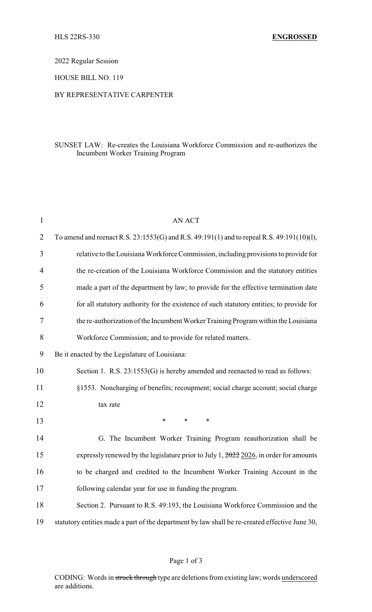2022 Regular Session

HOUSE BILL NO. 119

## BY REPRESENTATIVE CARPENTER

## SUNSET LAW: Re-creates the Louisiana Workforce Commission and re-authorizes the Incumbent Worker Training Program

| $\mathbf{1}$   | <b>AN ACT</b>                                                                                    |  |  |
|----------------|--------------------------------------------------------------------------------------------------|--|--|
| $\overline{2}$ | To amend and reenact R.S. 23:1553(G) and R.S. 49:191(1) and to repeal R.S. 49:191(10)(1),        |  |  |
| 3              | relative to the Louisiana Workforce Commission, including provisions to provide for              |  |  |
| $\overline{4}$ | the re-creation of the Louisiana Workforce Commission and the statutory entities                 |  |  |
| 5              | made a part of the department by law; to provide for the effective termination date              |  |  |
| 6              | for all statutory authority for the existence of such statutory entities; to provide for         |  |  |
| 7              | the re-authorization of the Incumbent Worker Training Program within the Louisiana               |  |  |
| 8              | Workforce Commission; and to provide for related matters.                                        |  |  |
| 9              | Be it enacted by the Legislature of Louisiana:                                                   |  |  |
| 10             | Section 1. R.S. 23:1553(G) is hereby amended and reenacted to read as follows:                   |  |  |
| 11             | §1553. Noncharging of benefits; recoupment; social charge account; social charge                 |  |  |
| 12             | tax rate                                                                                         |  |  |
| 13             | $\ast$<br>$\ast$<br>$\ast$                                                                       |  |  |
| 14             | G. The Incumbent Worker Training Program reauthorization shall be                                |  |  |
| 15             | expressly renewed by the legislature prior to July 1, $\frac{2022}{2026}$ , in order for amounts |  |  |
| 16             | to be charged and credited to the Incumbent Worker Training Account in the                       |  |  |
| 17             | following calendar year for use in funding the program.                                          |  |  |
| 18             | Section 2. Pursuant to R.S. 49:193, the Louisiana Workforce Commission and the                   |  |  |
| 19             | statutory entities made a part of the department by law shall be re-created effective June 30,   |  |  |

CODING: Words in struck through type are deletions from existing law; words underscored are additions.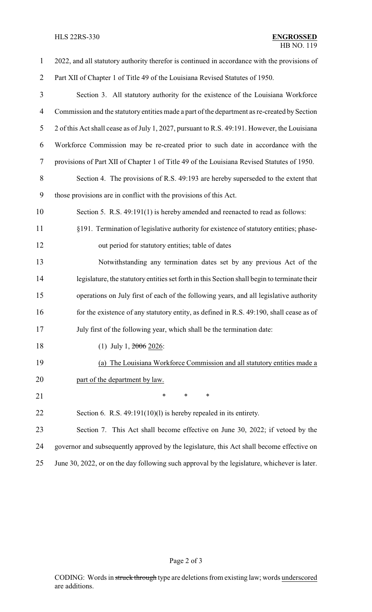| $\mathbf{1}$   | 2022, and all statutory authority therefor is continued in accordance with the provisions of  |  |  |
|----------------|-----------------------------------------------------------------------------------------------|--|--|
| $\overline{2}$ | Part XII of Chapter 1 of Title 49 of the Louisiana Revised Statutes of 1950.                  |  |  |
| 3              | Section 3. All statutory authority for the existence of the Louisiana Workforce               |  |  |
| 4              | Commission and the statutory entities made a part of the department as re-created by Section  |  |  |
| 5              | 2 of this Act shall cease as of July 1, 2027, pursuant to R.S. 49:191. However, the Louisiana |  |  |
| 6              | Workforce Commission may be re-created prior to such date in accordance with the              |  |  |
| 7              | provisions of Part XII of Chapter 1 of Title 49 of the Louisiana Revised Statutes of 1950.    |  |  |
| $8\,$          | Section 4. The provisions of R.S. 49:193 are hereby superseded to the extent that             |  |  |
| 9              | those provisions are in conflict with the provisions of this Act.                             |  |  |
| 10             | Section 5. R.S. 49:191(1) is hereby amended and reenacted to read as follows:                 |  |  |
| 11             | §191. Termination of legislative authority for existence of statutory entities; phase-        |  |  |
| 12             | out period for statutory entities; table of dates                                             |  |  |
| 13             | Notwithstanding any termination dates set by any previous Act of the                          |  |  |
| 14             | legislature, the statutory entities set forth in this Section shall begin to terminate their  |  |  |
| 15             | operations on July first of each of the following years, and all legislative authority        |  |  |
| 16             | for the existence of any statutory entity, as defined in R.S. 49:190, shall cease as of       |  |  |
| 17             | July first of the following year, which shall be the termination date:                        |  |  |
| 18             | (1) July 1, $2006$ 2026:                                                                      |  |  |
| 19             | (a) The Louisiana Workforce Commission and all statutory entities made a                      |  |  |
| 20             | part of the department by law.                                                                |  |  |
| 21             | $\ast$<br>$\ast$<br>$\ast$                                                                    |  |  |
| 22             | Section 6. R.S. 49:191(10)(l) is hereby repealed in its entirety.                             |  |  |
| 23             | Section 7. This Act shall become effective on June 30, 2022; if vetoed by the                 |  |  |
| 24             | governor and subsequently approved by the legislature, this Act shall become effective on     |  |  |
| 25             | June 30, 2022, or on the day following such approval by the legislature, whichever is later.  |  |  |

# Page 2 of 3